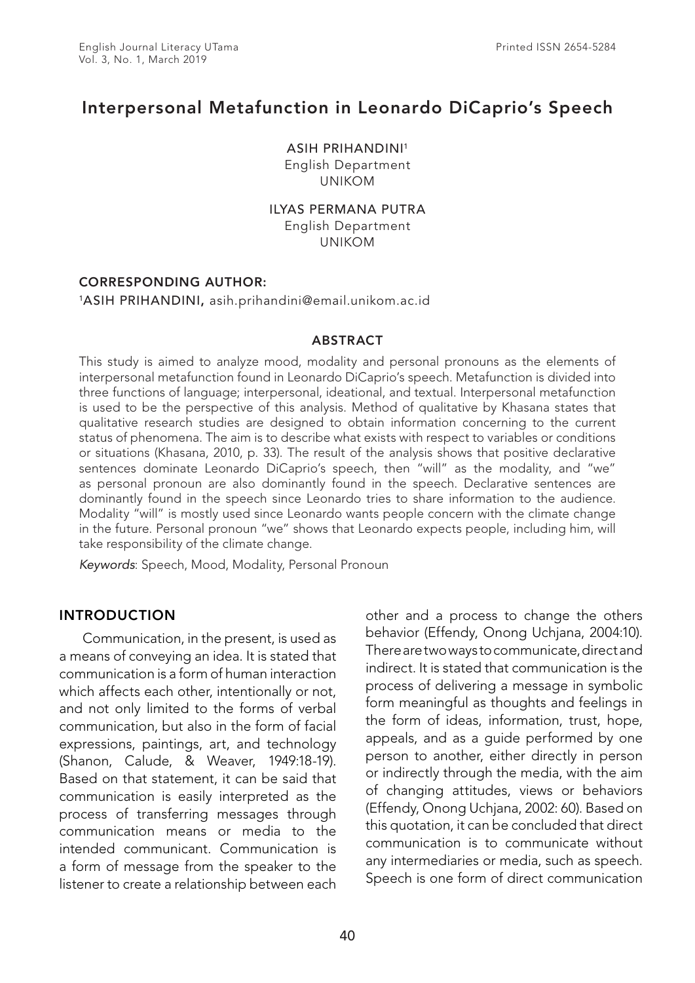# Interpersonal Metafunction in Leonardo DiCaprio's Speech

ASIH PRIHANDINI1

English Department UNIKOM

#### ILYAS PERMANA PUTRA

English Department UNIKOM

# CORRESPONDING AUTHOR:

#### 1ASIH PRIHANDINI, asih.prihandini@email.unikom.ac.id

#### **ABSTRACT**

This study is aimed to analyze mood, modality and personal pronouns as the elements of interpersonal metafunction found in Leonardo DiCaprio's speech. Metafunction is divided into three functions of language; interpersonal, ideational, and textual. Interpersonal metafunction is used to be the perspective of this analysis. Method of qualitative by Khasana states that qualitative research studies are designed to obtain information concerning to the current status of phenomena. The aim is to describe what exists with respect to variables or conditions or situations (Khasana, 2010, p. 33). The result of the analysis shows that positive declarative sentences dominate Leonardo DiCaprio's speech, then "will" as the modality, and "we" as personal pronoun are also dominantly found in the speech. Declarative sentences are dominantly found in the speech since Leonardo tries to share information to the audience. Modality "will" is mostly used since Leonardo wants people concern with the climate change in the future. Personal pronoun "we" shows that Leonardo expects people, including him, will take responsibility of the climate change.

*Keywords*: Speech, Mood, Modality, Personal Pronoun

# INTRODUCTION

Communication, in the present, is used as a means of conveying an idea. It is stated that communication is a form of human interaction which affects each other, intentionally or not, and not only limited to the forms of verbal communication, but also in the form of facial expressions, paintings, art, and technology (Shanon, Calude, & Weaver, 1949:18-19). Based on that statement, it can be said that communication is easily interpreted as the process of transferring messages through communication means or media to the intended communicant. Communication is a form of message from the speaker to the listener to create a relationship between each other and a process to change the others behavior (Effendy, Onong Uchjana, 2004:10). There are two ways to communicate, direct and indirect. It is stated that communication is the process of delivering a message in symbolic form meaningful as thoughts and feelings in the form of ideas, information, trust, hope, appeals, and as a guide performed by one person to another, either directly in person or indirectly through the media, with the aim of changing attitudes, views or behaviors (Effendy, Onong Uchjana, 2002: 60). Based on this quotation, it can be concluded that direct communication is to communicate without any intermediaries or media, such as speech. Speech is one form of direct communication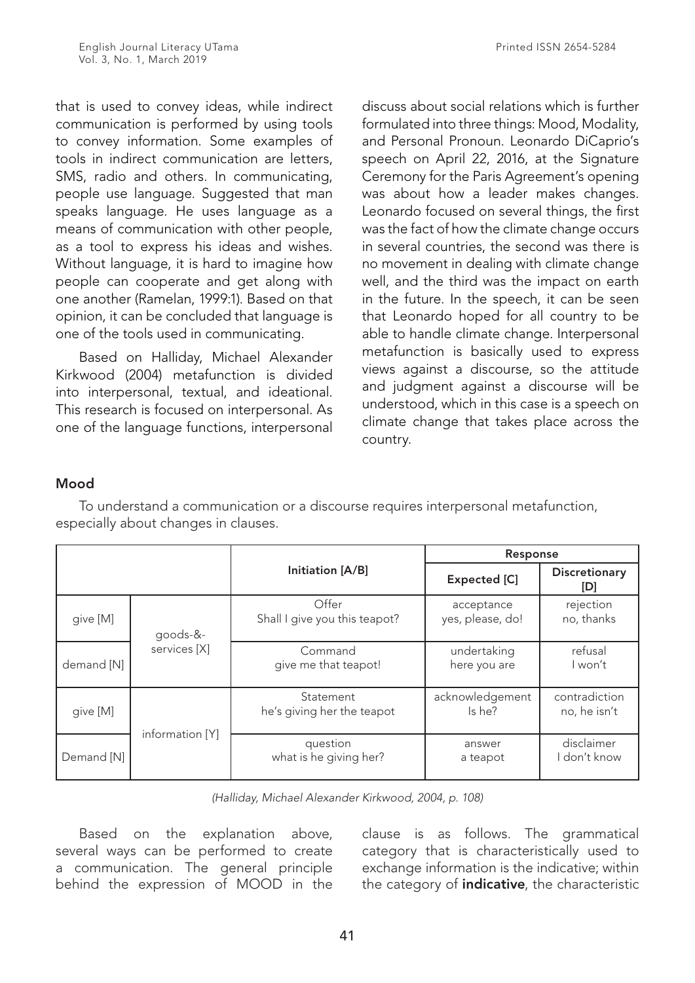that is used to convey ideas, while indirect communication is performed by using tools to convey information. Some examples of tools in indirect communication are letters, SMS, radio and others. In communicating, people use language. Suggested that man speaks language. He uses language as a means of communication with other people, as a tool to express his ideas and wishes. Without language, it is hard to imagine how people can cooperate and get along with one another (Ramelan, 1999:1). Based on that opinion, it can be concluded that language is one of the tools used in communicating.

Based on Halliday, Michael Alexander Kirkwood (2004) metafunction is divided into interpersonal, textual, and ideational. This research is focused on interpersonal. As one of the language functions, interpersonal discuss about social relations which is further formulated into three things: Mood, Modality, and Personal Pronoun. Leonardo DiCaprio's speech on April 22, 2016, at the Signature Ceremony for the Paris Agreement's opening was about how a leader makes changes. Leonardo focused on several things, the first was the fact of how the climate change occurs in several countries, the second was there is no movement in dealing with climate change well, and the third was the impact on earth in the future. In the speech, it can be seen that Leonardo hoped for all country to be able to handle climate change. Interpersonal metafunction is basically used to express views against a discourse, so the attitude and judgment against a discourse will be understood, which in this case is a speech on climate change that takes place across the country.

# Mood

To understand a communication or a discourse requires interpersonal metafunction, especially about changes in clauses.

|            |                 |                                         | Response                       |                               |  |  |
|------------|-----------------|-----------------------------------------|--------------------------------|-------------------------------|--|--|
|            |                 | Initiation [A/B]                        | <b>Expected [C]</b>            | <b>Discretionary</b><br>[D]   |  |  |
| give [M]   | goods-&-        | Offer<br>Shall I give you this teapot?  | acceptance<br>yes, please, do! | rejection<br>no, thanks       |  |  |
| demand [N] | services [X]    | Command<br>give me that teapot!         | undertaking<br>here you are    | refusal<br>l won't            |  |  |
| give [M]   |                 | Statement<br>he's giving her the teapot | acknowledgement<br>Is he?      | contradiction<br>no, he isn't |  |  |
| Demand [N] | information [Y] | question<br>what is he giving her?      | answer<br>a teapot             | disclaimer<br>l don't know    |  |  |

*(Halliday, Michael Alexander Kirkwood, 2004, p. 108)*

Based on the explanation above, several ways can be performed to create a communication. The general principle behind the expression of MOOD in the

clause is as follows. The grammatical category that is characteristically used to exchange information is the indicative; within the category of *indicative*, the characteristic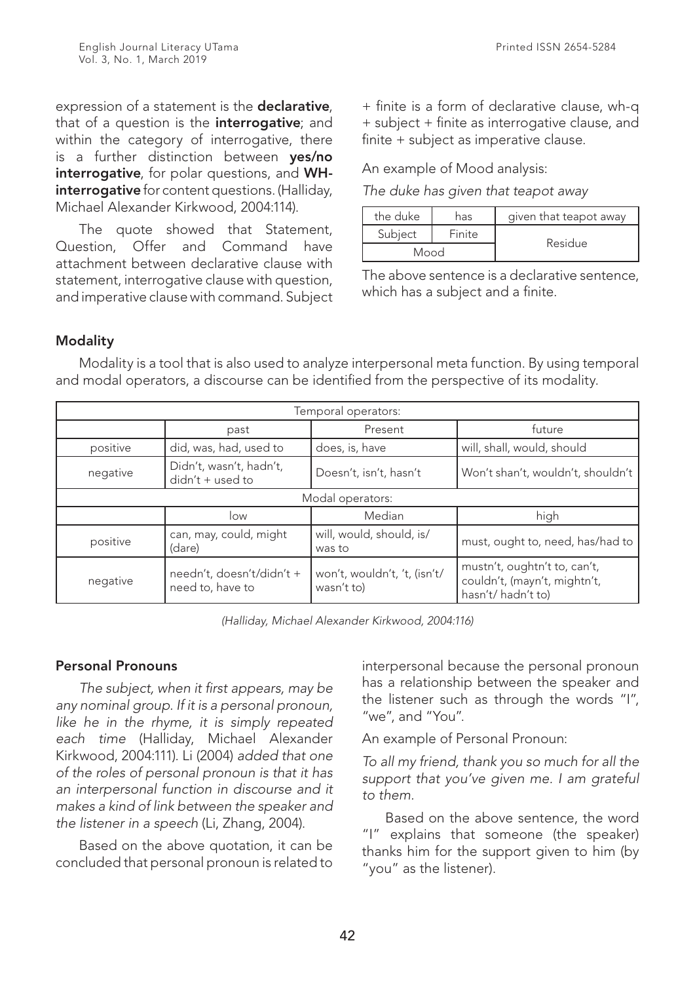expression of a statement is the **declarative**, that of a question is the **interrogative**; and within the category of interrogative, there is a further distinction between ves/no interrogative, for polar questions, and WHinterrogative for content questions. (Halliday, Michael Alexander Kirkwood, 2004:114).

The quote showed that Statement, Question, Offer and Command have attachment between declarative clause with statement, interrogative clause with question, and imperative clause with command. Subject + finite is a form of declarative clause, wh-q + subject + finite as interrogative clause, and finite + subject as imperative clause.

An example of Mood analysis:

*The duke has given that teapot away*

| the duke<br>has |        | given that teapot away |  |
|-----------------|--------|------------------------|--|
| Subject         | Finite |                        |  |
| Mood            |        | Residue                |  |

The above sentence is a declarative sentence, which has a subject and a finite.

# Modality

Modality is a tool that is also used to analyze interpersonal meta function. By using temporal and modal operators, a discourse can be identified from the perspective of its modality.

|          |                                               | Temporal operators:                        |                                                                                   |
|----------|-----------------------------------------------|--------------------------------------------|-----------------------------------------------------------------------------------|
|          | past                                          | Present                                    | future                                                                            |
| positive | did, was, had, used to                        | does, is, have                             | will, shall, would, should                                                        |
| negative | Didn't, wasn't, hadn't,<br>$didn't + used to$ | Doesn't, isn't, hasn't                     | Won't shan't, wouldn't, shouldn't                                                 |
|          |                                               | Modal operators:                           |                                                                                   |
|          | low                                           | Median                                     | high                                                                              |
| positive | can, may, could, might<br>(dare)              | will, would, should, is/<br>was to         | must, ought to, need, has/had to                                                  |
| negative | needn't, doesn't/didn't +<br>need to, have to | won't, wouldn't, 't, (isn't/<br>wasn't to) | mustn't, oughtn't to, can't,<br>couldn't, (mayn't, mightn't,<br>hasn't/hadn't to) |

*(Halliday, Michael Alexander Kirkwood, 2004:116)*

# Personal Pronouns

*The subject, when it first appears, may be any nominal group. If it is a personal pronoun, like he in the rhyme, it is simply repeated each time* (Halliday, Michael Alexander Kirkwood, 2004:111)*.* Li (2004) *added that one of the roles of personal pronoun is that it has an interpersonal function in discourse and it makes a kind of link between the speaker and the listener in a speech* (Li, Zhang, 2004).

Based on the above quotation, it can be concluded that personal pronoun is related to interpersonal because the personal pronoun has a relationship between the speaker and the listener such as through the words "I", "we", and "You".

An example of Personal Pronoun:

*To all my friend, thank you so much for all the support that you've given me. I am grateful to them.*

Based on the above sentence, the word "I" explains that someone (the speaker) thanks him for the support given to him (by "you" as the listener).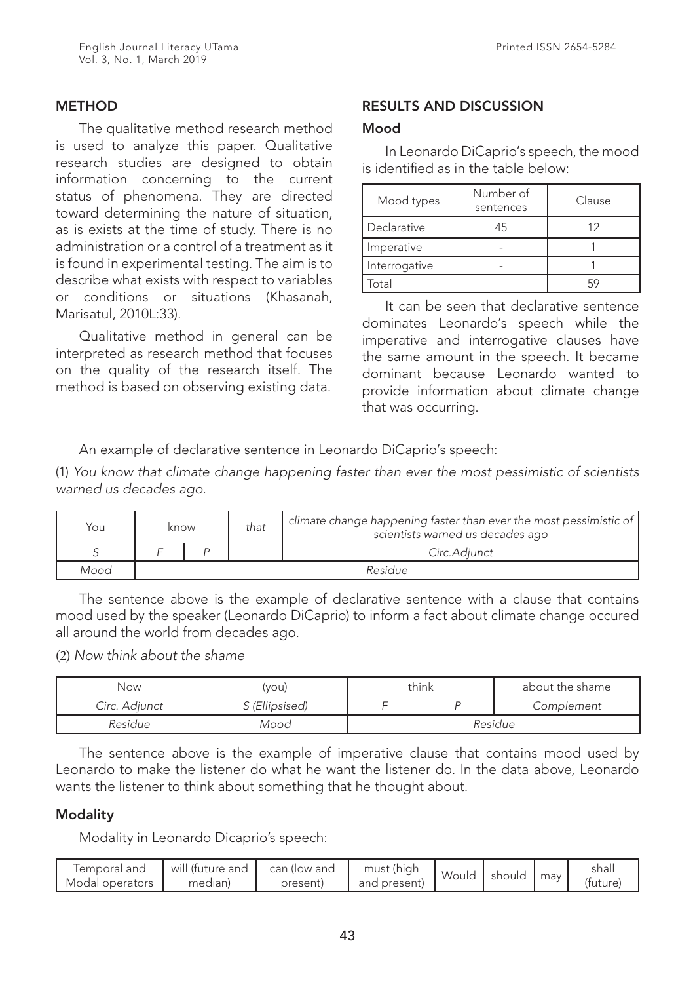The qualitative method research method is used to analyze this paper. Qualitative research studies are designed to obtain information concerning to the current status of phenomena. They are directed toward determining the nature of situation, as is exists at the time of study. There is no administration or a control of a treatment as it is found in experimental testing. The aim is to describe what exists with respect to variables or conditions or situations (Khasanah, Marisatul, 2010L:33).

Qualitative method in general can be interpreted as research method that focuses on the quality of the research itself. The method is based on observing existing data.

# RESULTS AND DISCUSSION

#### Mood

In Leonardo DiCaprio's speech, the mood is identified as in the table below:

| Mood types    | Number of<br>sentences | Clause |
|---------------|------------------------|--------|
| Declarative   | 45                     | 17     |
| Imperative    |                        |        |
| Interrogative |                        |        |
| .<br>otal     |                        |        |

It can be seen that declarative sentence dominates Leonardo's speech while the imperative and interrogative clauses have the same amount in the speech. It became dominant because Leonardo wanted to provide information about climate change that was occurring.

An example of declarative sentence in Leonardo DiCaprio's speech:

(1) *You know that climate change happening faster than ever the most pessimistic of scientists warned us decades ago.*

| You  | know |  | that | $^\backprime$ climate change happening faster than ever the most pessimistic of $\mid$<br>scientists warned us decades ago |  |  |  |
|------|------|--|------|----------------------------------------------------------------------------------------------------------------------------|--|--|--|
|      |      |  |      | Circ.Adiunct                                                                                                               |  |  |  |
| Mood |      |  |      | Residue                                                                                                                    |  |  |  |

The sentence above is the example of declarative sentence with a clause that contains mood used by the speaker (Leonardo DiCaprio) to inform a fact about climate change occured all around the world from decades ago.

(2) *Now think about the shame*

| Now.                            | (you) | think   |  | about the shame |  |
|---------------------------------|-------|---------|--|-----------------|--|
| S (Ellipsised)<br>Circ. Adjunct |       |         |  | Complement      |  |
| Residue                         | Mood  | Residue |  |                 |  |

The sentence above is the example of imperative clause that contains mood used by Leonardo to make the listener do what he want the listener do. In the data above, Leonardo wants the listener to think about something that he thought about.

# **Modality**

Modality in Leonardo Dicaprio's speech:

| will (future and<br>Iemporal and<br>Modal operators<br>median | can (low and<br>present | must (high<br>and present) | Would | should | may | shal<br>(future) |
|---------------------------------------------------------------|-------------------------|----------------------------|-------|--------|-----|------------------|
|---------------------------------------------------------------|-------------------------|----------------------------|-------|--------|-----|------------------|

Printed ISSN 2654-5284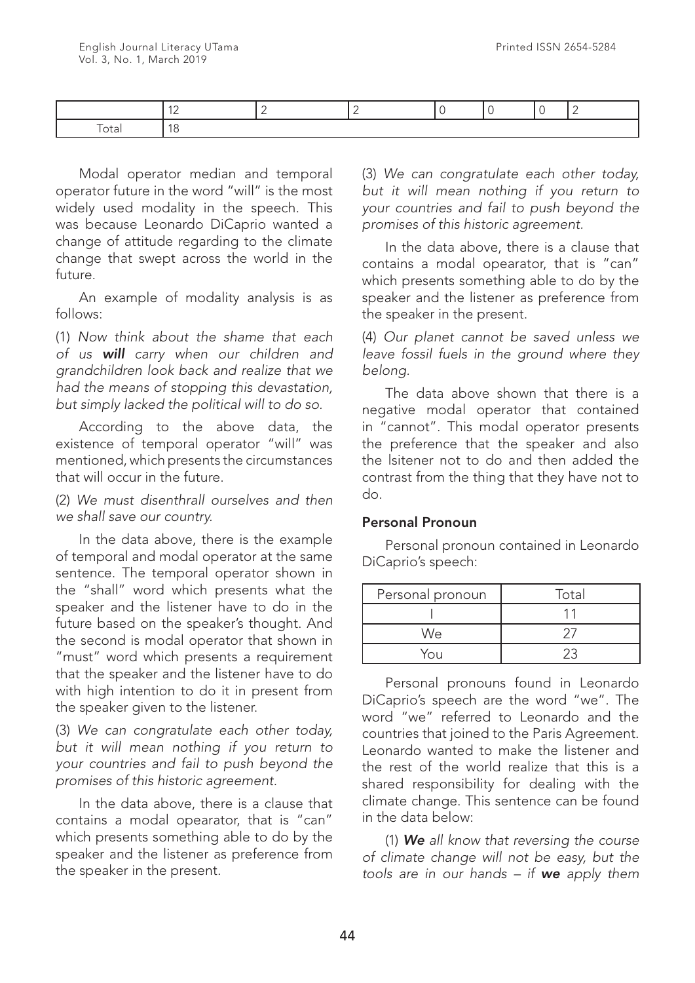Modal operator median and temporal operator future in the word "will" is the most widely used modality in the speech. This was because Leonardo DiCaprio wanted a change of attitude regarding to the climate change that swept across the world in the future.

An example of modality analysis is as follows:

(1) *Now think about the shame that each of us will carry when our children and grandchildren look back and realize that we had the means of stopping this devastation, but simply lacked the political will to do so.*

According to the above data, the existence of temporal operator "will" was mentioned, which presents the circumstances that will occur in the future.

(2) *We must disenthrall ourselves and then we shall save our country.*

In the data above, there is the example of temporal and modal operator at the same sentence. The temporal operator shown in the "shall" word which presents what the speaker and the listener have to do in the future based on the speaker's thought. And the second is modal operator that shown in "must" word which presents a requirement that the speaker and the listener have to do with high intention to do it in present from the speaker given to the listener.

(3) *We can congratulate each other today, but it will mean nothing if you return to your countries and fail to push beyond the promises of this historic agreement.*

In the data above, there is a clause that contains a modal opearator, that is "can" which presents something able to do by the speaker and the listener as preference from the speaker in the present.

(3) *We can congratulate each other today, but it will mean nothing if you return to your countries and fail to push beyond the promises of this historic agreement.*

In the data above, there is a clause that contains a modal opearator, that is "can" which presents something able to do by the speaker and the listener as preference from the speaker in the present.

(4) *Our planet cannot be saved unless we leave fossil fuels in the ground where they belong.*

The data above shown that there is a negative modal operator that contained in "cannot". This modal operator presents the preference that the speaker and also the lsitener not to do and then added the contrast from the thing that they have not to do.

#### Personal Pronoun

Personal pronoun contained in Leonardo DiCaprio's speech:

| Personal pronoun | Total |
|------------------|-------|
|                  |       |
| We               |       |
| You              |       |

Personal pronouns found in Leonardo DiCaprio's speech are the word "we". The word "we" referred to Leonardo and the countries that joined to the Paris Agreement. Leonardo wanted to make the listener and the rest of the world realize that this is a shared responsibility for dealing with the climate change. This sentence can be found in the data below:

(1) *We all know that reversing the course of climate change will not be easy, but the tools are in our hands – if we apply them*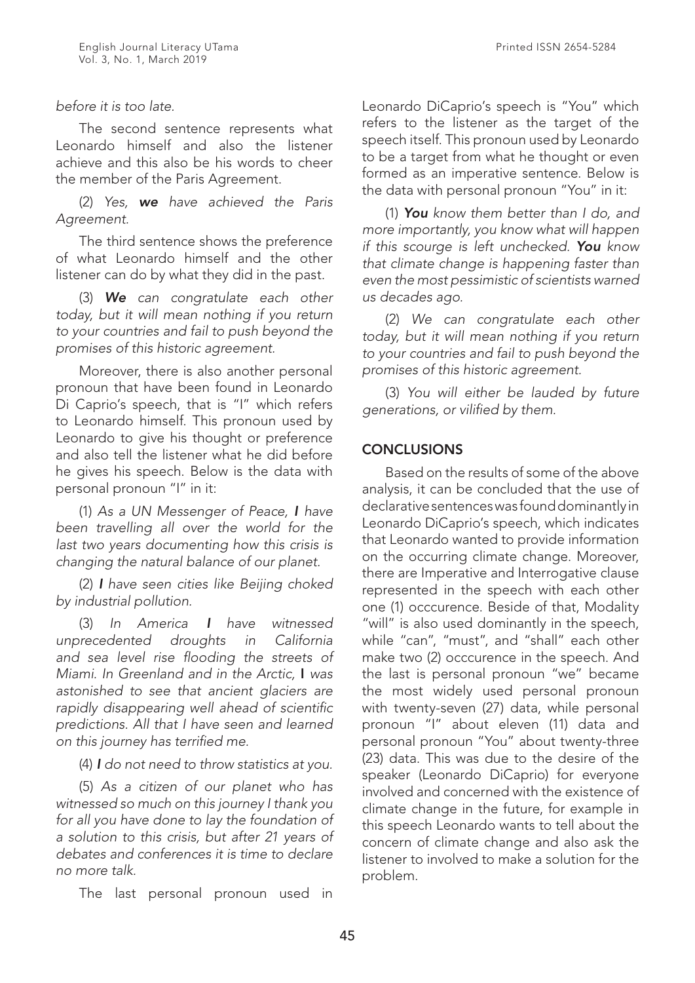# *before it is too late.*

The second sentence represents what Leonardo himself and also the listener achieve and this also be his words to cheer the member of the Paris Agreement.

(2) *Yes, we have achieved the Paris Agreement.*

The third sentence shows the preference of what Leonardo himself and the other listener can do by what they did in the past.

(3) *We can congratulate each other today, but it will mean nothing if you return to your countries and fail to push beyond the promises of this historic agreement.*

Moreover, there is also another personal pronoun that have been found in Leonardo Di Caprio's speech, that is "I" which refers to Leonardo himself. This pronoun used by Leonardo to give his thought or preference and also tell the listener what he did before he gives his speech. Below is the data with personal pronoun "I" in it:

(1) *As a UN Messenger of Peace, I have been travelling all over the world for the last two years documenting how this crisis is changing the natural balance of our planet.*

(2) *I have seen cities like Beijing choked by industrial pollution.*

(3) *In America I have witnessed unprecedented droughts in California and sea level rise flooding the streets of Miami. In Greenland and in the Arctic,* I *was astonished to see that ancient glaciers are rapidly disappearing well ahead of scientific predictions. All that I have seen and learned on this journey has terrified me.*

(4) *I do not need to throw statistics at you.*

(5) *As a citizen of our planet who has witnessed so much on this journey I thank you for all you have done to lay the foundation of a solution to this crisis, but after 21 years of debates and conferences it is time to declare no more talk.*

The last personal pronoun used in

Leonardo DiCaprio's speech is "You" which refers to the listener as the target of the speech itself. This pronoun used by Leonardo to be a target from what he thought or even formed as an imperative sentence. Below is the data with personal pronoun "You" in it:

(1) *You know them better than I do, and more importantly, you know what will happen if this scourge is left unchecked. You know that climate change is happening faster than even the most pessimistic of scientists warned us decades ago.*

(2) *We can congratulate each other today, but it will mean nothing if you return to your countries and fail to push beyond the promises of this historic agreement.*

(3) *You will either be lauded by future generations, or vilified by them.*

# **CONCLUSIONS**

Based on the results of some of the above analysis, it can be concluded that the use of declarative sentences was found dominantly in Leonardo DiCaprio's speech, which indicates that Leonardo wanted to provide information on the occurring climate change. Moreover, there are Imperative and Interrogative clause represented in the speech with each other one (1) occcurence. Beside of that, Modality "will" is also used dominantly in the speech, while "can", "must", and "shall" each other make two (2) occcurence in the speech. And the last is personal pronoun "we" became the most widely used personal pronoun with twenty-seven (27) data, while personal pronoun "I" about eleven (11) data and personal pronoun "You" about twenty-three (23) data. This was due to the desire of the speaker (Leonardo DiCaprio) for everyone involved and concerned with the existence of climate change in the future, for example in this speech Leonardo wants to tell about the concern of climate change and also ask the listener to involved to make a solution for the problem.